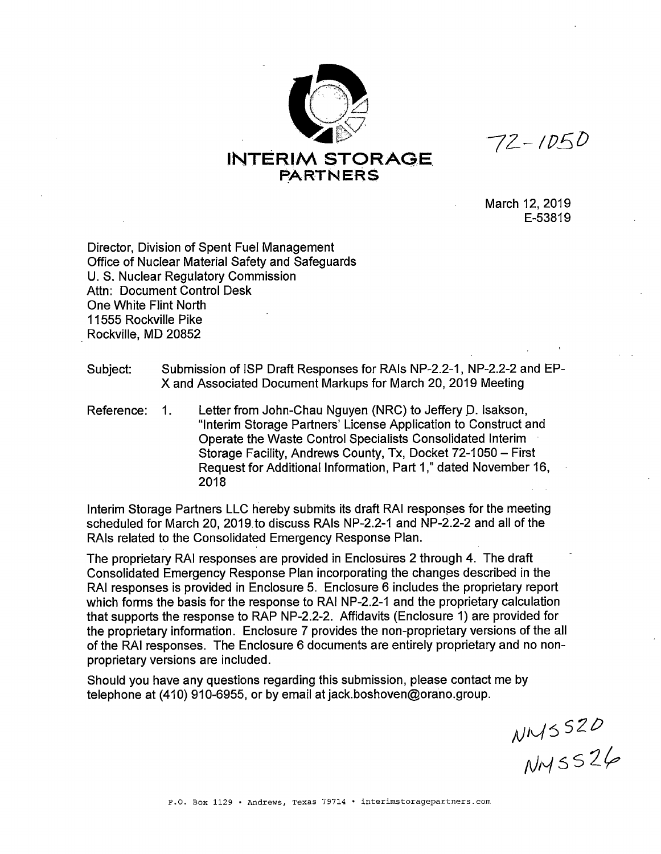

 $72 - 1050$ 

March 12, 2019 E-53819

Director, Division of Spent Fuel Management Office of Nuclear Material Safety and Safeguards U.S. Nuclear Regulatory Commission Attn: Document Control Desk One White Flint North 11555 Rockville Pike Rockville, MD 20852

Subject: Submission of ISP Draft Responses for RAls NP-2.2-1, NP-2.2-2 and EP-X and Associated Document Markups for March 20, 2019 Meeting

Reference: 1. Letter from John-Chau Nguyen (NRC) to Jeffery D. Isakson, "Interim Storage Partners' License Application to Construct and Operate the Waste Control Specialists Consolidated Interim Storage Facility, Andrews County, Tx, Docket 72-1050 - First Request for Additional Information, Part 1," dated November 16, 2018

Interim Storage Partners LLC hereby submits its draft RAI responses for the meeting scheduled for March 20, 2019. to discuss RAls NP-2.2-1 and NP-2.2-2 and all of the RAls related to the Consolidated Emergency Response Plan.

The proprietary RAI responses are provided in Enclosures 2 through 4. The draft Consolidated Emergency Response Plan incorporating the changes described in the RAI responses is provided in Enclosure 5. Enclosure 6 includes the proprietary report which forms the basis for the response to RAI NP-2.2-1 and the proprietary calculation that supports the response to RAP NP-2.2-2. Affidavits (Enclosure 1) are provided for the proprietary information. Enclosure 7 provides the non-proprietary versions of the all of the RAI responses. The Enclosure 6 documents are entirely proprietary and no nonproprietary versions are included.

Should you have any questions regarding this submission, please contact me by telephone at (410) 910-6955, or by email at jack.boshoven@orano.group.

NMS520<br>NMS526

P.O. Box 1129 • Andrews, Texas 79714 • interimstoragepartners.com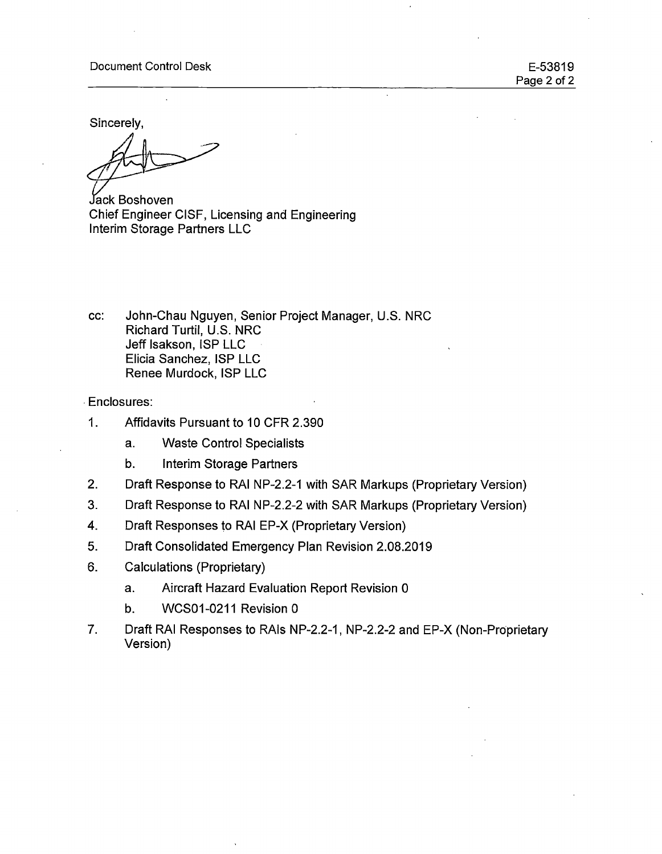#### Document Control Desk

E-53819 Page 2 of 2

Sincerely,

ack Boshoven Chief Engineer CISF, Licensing and Engineering Interim Storage Partners LLC

cc: John-Chau Nguyen, Senior Project Manager, U.S. NRC Richard Turtil, U.S. NRC Jeff Isakson, ISP LLC Elicia Sanchez, ISP LLC Renee Murdock, ISP LLC

. Enclosures:

- 1. Affidavits Pursuant to 10 CFR 2.390
	- a. Waste Control Specialists
	- b. Interim Storage Partners
- 2. Draft Response to RAI NP-2.2-1 with SAR Markups (Proprietary Version)

 $\ddot{\phantom{a}}$ 

- 3. Draft Response to RAI NP-2.2-2 with SAR Markups (Proprietary Version)
- 4. Draft Responses to RAI EP-X (Proprietary Version)
- 5. Draft Consolidated Emergency Plan Revision 2.08.2019
- 6. Calculations (Proprietary)
	- a. Aircraft Hazard Evaluation Report Revision 0
	- b. WCS01-0211 Revision 0
- 7. Draft RAI Responses to RAls NP-2.2-1, NP-2.2-2 and EP-X (Non-Proprietary Version)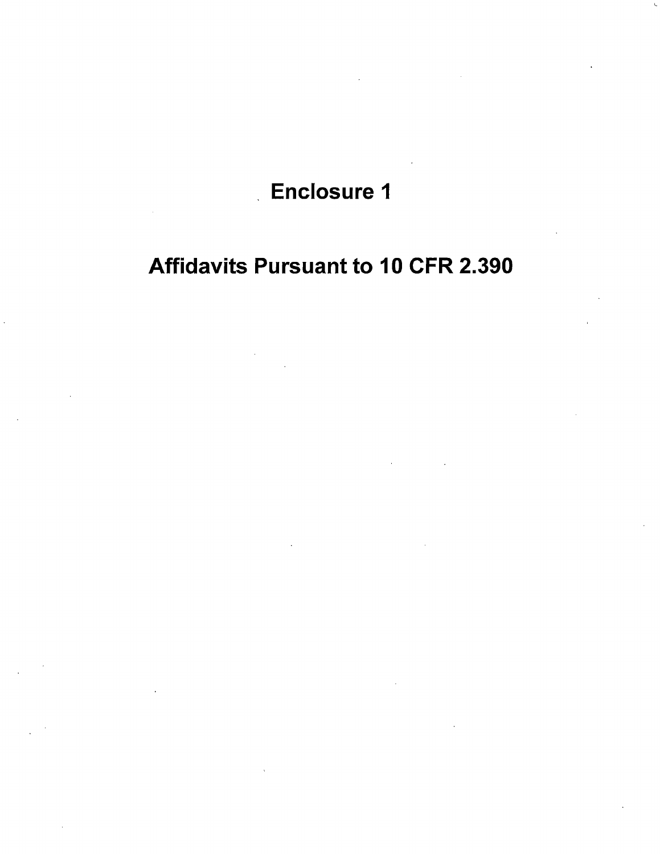## Enclosure 1

# Affidavits Pursuant to 10 CFR 2.390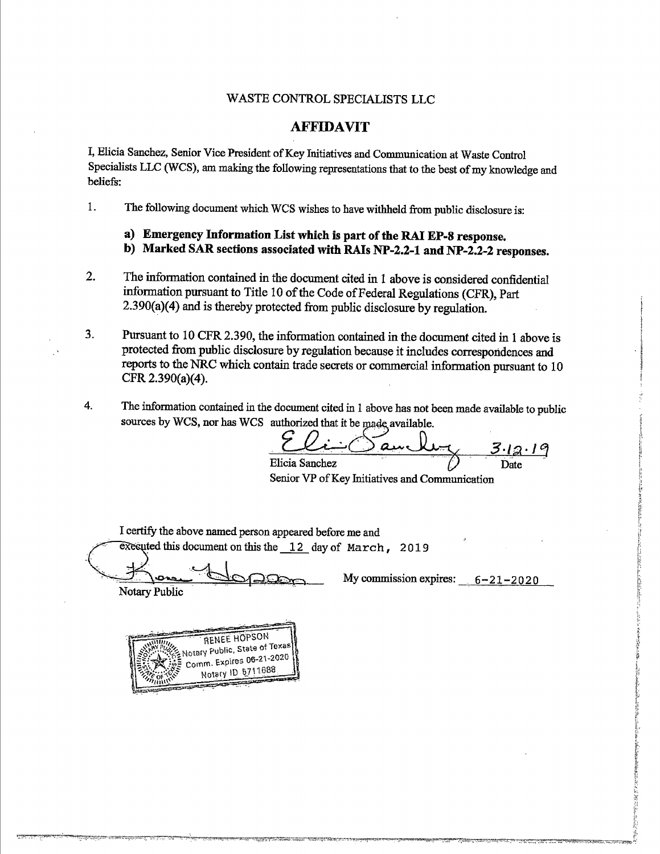## WASTE CONTROL SPECIALISTS LLC

### **AFFIDAVIT**

I, Elicia Sanchez, Senior Vice President of Key Initiatives and Communication at Waste Control Specialists LLC (WCS), am making the following representations that to the best of my knowledge and beliefs:

1. The following document which WCS wishes to have withheld from public disclosure is:

- **a) Emergency Information List which is part of the RAJ EP-8 response.**
- **b) Marked SAR sections associated with RAis NP-2.2-1 and NP-2.2-2 responses.**
- 2. The information contained in the document cited in 1 above is considered confidential information pursuant to Title 10 of the Code of Federal Regulations (CFR), Part 2.390(a)(4) and is thereby protected from public disclosure by regulation.
- 3. Pursuant to 10 CFR 2.390, the information contained in the document cited in 1 above is protected from public disclosure by regulation because it includes correspondences and reports to the NRC which contain trade secrets or commercial information pursuant to 10 CFR 2.390(a)(4).
- 4. The information contained in the document cited in 1 above has not been made available to public sources by WCS, nor has WCS authorized that it be made available.

 $a$ ully  $3.19$ Elicia Sanchez

Senior VP of Key Initiatives and Communication

I certify the above named person appeared before me and executed this document on this the  $\_\,12$  day of March, 2019

My commission expires:  $6-21-2020$ 

Notary Public